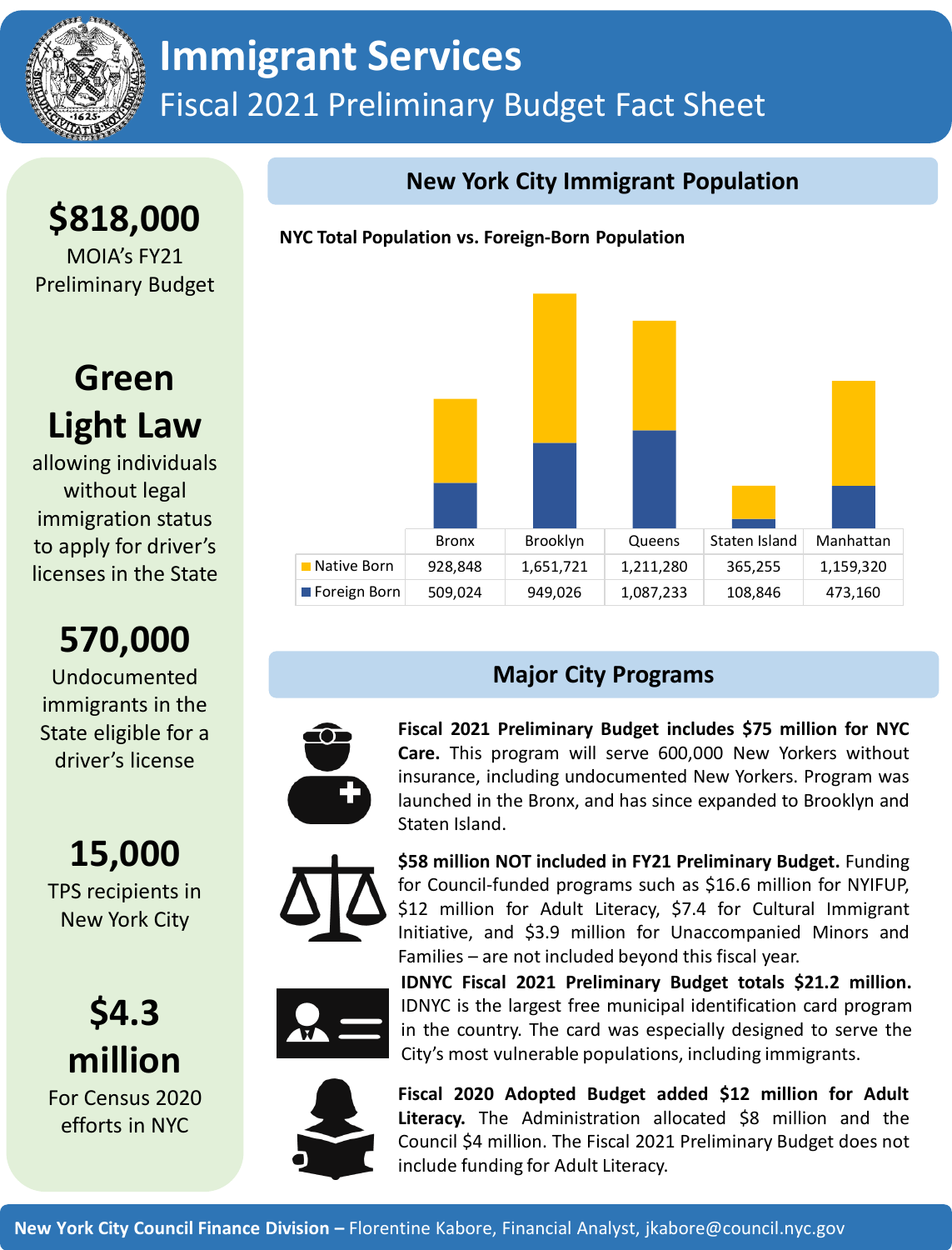

## **Immigrant Services** Fiscal 2021 Preliminary Budget Fact Sheet

**\$818,000** MOIA's FY21 Preliminary Budget

## **Green Light Law**

allowing individuals without legal immigration status to apply for driver's licenses in the State

# **570,000**

Undocumented immigrants in the State eligible for a driver's license

**15,000** TPS recipients in New York City

**\$4.3 million** For Census 2020 efforts in NYC

## **New York City Immigrant Population**

#### **NYC Total Population vs. Foreign-Born Population**



## **Major City Programs**



**Fiscal 2021 Preliminary Budget includes \$75 million for NYC Care.** This program will serve 600,000 New Yorkers without insurance, including undocumented New Yorkers. Program was launched in the Bronx, and has since expanded to Brooklyn and Staten Island.



**\$58 million NOT included in FY21 Preliminary Budget.** Funding for Council-funded programs such as \$16.6 million for NYIFUP, \$12 million for Adult Literacy, \$7.4 for Cultural Immigrant Initiative, and \$3.9 million for Unaccompanied Minors and Families – are not included beyond this fiscal year.



**IDNYC Fiscal 2021 Preliminary Budget totals \$21.2 million.** IDNYC is the largest free municipal identification card program in the country. The card was especially designed to serve the City's most vulnerable populations, including immigrants.



**Fiscal 2020 Adopted Budget added \$12 million for Adult Literacy.** The Administration allocated \$8 million and the Council \$4 million. The Fiscal 2021 Preliminary Budget does not include funding for Adult Literacy.